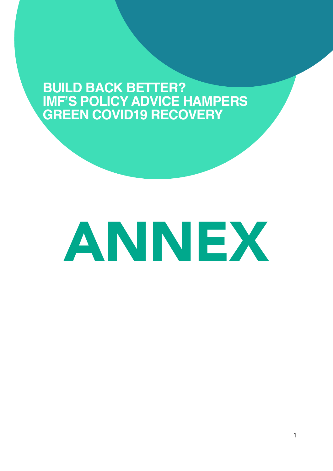## **BUILD BACK BETTER? IMF'S POLICY ADVICE HAMPERS GREEN COVID19 RECOVERY**

# ANNEX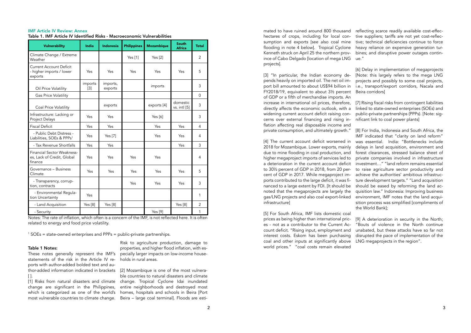mated to have ruined around 800 thousand hectares of crops, including for local consumption and exports [see also coal mine flooding in note 4 below]. Tropical Cyclone Kenneth struck on April 25 the northern province of Cabo Delgado [location of mega LNG projects].

[3] "In particular, the Indian economy depends heavily on imported oil. The net oil import bill amounted to about US\$94 billion in FY2018/19, equivalent to about 3½ percent of GDP or a fifth of merchandise imports. An increase in international oil prices, therefore, [7] Rising fiscal risks from contingent liabilities directly affects the economic outlook, with a widening current account deficit raising concerns over external financing and rising inflation affecting real disposable income and

reflecting scarce readily available cost-effective suppliers; tariffs are not yet cost-reflective; technical deficiencies continue to force heavy reliance on expensive generation turbines; and disruptive power outages continue."

private consumption, and ultimately growth." [4] The current account deficit worsened in 2018 for Mozambique. Lower exports, mainly due to mine flooding in coal production, and higher megaproject imports of services led to a deterioration in the current account deficit to 30½ percent of GDP in 2018, from 20 percent of GDP in 2017. While megaproject imports contributed to the large deficit, it was financed to a large extent by FDI. [It should be noted that the megaprojects are largely the gas/LNG projects and also coal export-linked infrastructure] [8] For India, Indonesia and South Africa, the IMF indicated that "clarity on land reform" was essential. India: "Bottlenecks include delays in land acquisition, environment and forest clearances, stressed balance sheet of private companies involved in infrastructure investment…" "land reform remains essential to raise agriculture sector productivity and achieve the authorities' ambitious infrastructure development targets." "Land acquisition should be eased by reforming the land acquisition law." Indonesia: Improving business environment, IMF notes that the land acquisition process was simplified [compliments of the World Bank];

[6] Delay in implementation of megaprojects [Note: this largely refers to the mega LNG projects and possibly to some coal projects, i.e., transport/export corridors, Nacala and Beira corridors]

linked to state-owned enterprises (SOEs) and public-private partnerships (PPPs). [Note: significant link to coal power plants]

These notes generally represent the IMF's statements of the risk in the Article IV reports with author-added bolded text and author-added information indicated in brackets [2] Mozambique is one of the most vulnera- $\lceil$  ].

[5] For South Africa, IMF lists domestic coal prices as being higher than international prices - not as a contributor to the Current Account deficit. "Rising input, employment and interest costs. Eskom has been purchasing coal and other inputs at significantly above world prices." "coal costs remain elevated [9] A deterioration in security in the North: "Bouts of violence in the North continue unabated, but these attacks have so far not disrupted the pace of implementation of the LNG megaprojects in the region".

| <b>IMF Article IV Review: Annex</b>                                      |
|--------------------------------------------------------------------------|
| Table 1. IMF Article IV Identified Risks - Macroeconomic Vulnerabilities |

| <b>Vulnerability</b>                                                  | <b>India</b>     | <b>Indonesia</b>    | <b>Philippines</b> | <b>Mozambique</b> | South<br><b>Africa</b>   | <b>Total</b>   |
|-----------------------------------------------------------------------|------------------|---------------------|--------------------|-------------------|--------------------------|----------------|
| Climate Change / Extreme<br>Weather                                   |                  |                     | Yes [1]            | Yes $[2]$         |                          | $\overline{2}$ |
| <b>Current Account Deficit</b><br>- higher imports / lower<br>exports | Yes              | Yes                 | Yes                | Yes               | Yes                      | 5              |
| Oil Price Volatility                                                  | imports<br>$[3]$ | imports,<br>exports |                    | imports           |                          | 3              |
| Gas Price Volatility                                                  |                  |                     |                    |                   |                          | $\Omega$       |
| Coal Price Volatility                                                 |                  | exports             |                    | exports [4]       | domestic<br>vs. intl [5] | 3              |
| Infrastructure: Lacking or<br>Project Delays                          | Yes              | Yes                 |                    | Yes [6]           |                          | 3              |
| <b>Fiscal Deficit</b>                                                 | Yes              | Yes                 |                    | Yes               | Yes                      | $\overline{4}$ |
| - Public Debt Distress -<br>Liabilities, SOEs & PPPs <sup>1</sup>     | Yes              | Yes [7]             |                    | Yes               | Yes                      | 4              |
| - Tax Revenue Shortfalls                                              | Yes              | Yes                 |                    |                   | Yes                      | 3              |
| Financial Sector Weakness-<br>es, Lack of Credit, Global<br>finance   | Yes              | Yes                 | Yes                | Yes               |                          | 4              |
| Governance – Business<br>Climate                                      | Yes              | Yes                 | Yes                | Yes               | Yes                      | 5              |
| - Transparency, corrup-<br>tion, contracts                            |                  |                     | Yes                | Yes               | Yes                      | 3              |
| - Environmental Regula-<br>tion Uncertainty                           | Yes              |                     |                    |                   |                          | 1              |
| - Land Acquisition                                                    | Yes [8]          | Yes [8]             |                    |                   | Yes [8]                  | $\overline{2}$ |
| - Security                                                            |                  |                     |                    | Yes [9]           |                          | 1              |

Notes: The rate of inflation, which often is a concern of the IMF, is not reflected here. It is often related to energy and food price volatility.

1 SOEs = state-owned enterprises and PPPs = public-private partnerships.

#### Table 1 Notes:

[1] Risks from natural disasters and climate change. Tropical Cyclone Idai inundated change are significant in the Philippines, which is categorized as one of the world's homes, hospitals and schools in Beira [Port most vulnerable countries to climate change.

Risk to agriculture production, damage to properties, and higher flood inflation, with especially larger impacts on low-income households in rural areas.

ble countries to natural disasters and climate entire neighborhoods and destroyed most Beira – large coal terminal]. Floods are esti-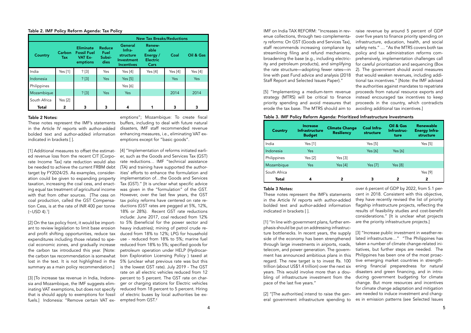IMF on India TAX REFORM: "Increases in revenue collections, through two complementary reforms: On GST (Goods and Services Tax), staff recommends increasing compliance by streamlining filing and refund mechanisms, broadening the base (e.g., including electricity and petroleum products), and simplifying the rate structure—adopting fewer rates—in line with past Fund advice and analysis (2018 Staff Report and Selected Issues Paper)." [5] "Implementing a medium-term revenue strategy (MTRS) will be critical to finance priority spending and avoid measures that erode the tax base. The MTRS should aim to raise revenue by around 5 percent of GDP over five years to finance priority spending on infrastructure, education, health, and social safety nets." … "As the MTRS covers both tax policy and tax administration reforms comprehensively, implementation challenges call for careful prioritization and sequencing (Box 2). The government should avoid measures that would weaken revenues, including additional tax incentives." [Note: the IMF advised the authorities against mandates to repatriate proceeds from natural resource exports and instead encouraged tax incentives to keep proceeds in the country, which contradicts avoiding additional tax incentives.]

#### Table 3. IMF Policy Reform Agenda: Prioritized Infrastructure Investments

| <b>Country</b> | <b>Increase</b><br><b>Infrastructure</b><br><b>Budget</b> | <b>Climate Change</b><br><b>Resiliency</b> | <b>Coal Infra-</b><br>structure | Oil & Gas<br>Infrastruc-<br>ture | Renewable<br><b>Energy Infra-</b><br>structure |
|----------------|-----------------------------------------------------------|--------------------------------------------|---------------------------------|----------------------------------|------------------------------------------------|
| India          | Yes [1]                                                   |                                            | Yes $[5]$                       |                                  | Yes $[5]$                                      |
| Indonesia      | Yes                                                       |                                            | Yes $[6]$                       | Yes $[6]$                        |                                                |
| Philippines    | Yes [2]                                                   | Yes [3]                                    |                                 |                                  |                                                |
| Mozambique     | <b>Yes</b>                                                | Yes $[4]$                                  | Yes [7]                         | Yes $[8]$                        |                                                |
| South Africa   |                                                           |                                            |                                 |                                  | Yes [9]                                        |
| <b>Total</b>   | 4                                                         | 2                                          | 3                               | 2                                | 2                                              |

phasis should be put on addressing infrastructure bottlenecks. In recent years, the supply side of the economy has been strengthened through large investments in airports, roads, telecom, and power generation. The government has announced ambitious plans in this regard. The new target is to invest Rs. 100 trillion (about US\$1.4 trillion) over the next six years. This would involve more than a doubling of infrastructure investment from the pace of the last five years."

Table 3 Notes: These notes represent the IMF's statements in the Article IV reports with author-added bolded text and author-added information indicated in brackets [ ]. [1] "In line with government plans, further emover 6 percent of GDP by 2022, from 5.1 percent in 2018. Consistent with this objective, they have recently revised the list of priority flagship infrastructure projects, reflecting the results of feasibility studies and cost-benefit considerations." [It is unclear what projects are the priority infrastructure projects.]

[2] On the tax policy front, it would be important to review legislation to limit base erosion and profit shifting opportunities, reduce tax expenditures including those related to special economic zones, and gradually increase the carbon tax introduced this year. [Note: the carbon tax recommendation is somewhat lost in the text. It is not highlighted in the summary as a main policy recommendation.]

[3] [To increase tax revenue in India, Indonesia and Mozambique, the IMF suggests eliminating VAT exemptions, but does not specify that is should apply to exemptions for fossil fuels.] Indonesia: "Remove certain VAT ex[2] "[The authorities] intend to raise the general government infrastructure spending to [3] "Increase public investment in weather-related infrastructure…" "The Philippines has taken a number of climate change-related initiatives, but further steps are needed. The Philippines has been one of the most proactive emerging market countries in strengthening financial preparedness for natural disasters and green financing, and in introducing government budgeting for climate change. But more resources and incentives for climate change adaptation and mitigation are needed to induce investment and changes in emission patterns (see Selected Issues

[4] "Implementation of reforms initiated earlier, such as the Goods and Services Tax (GST) rate reductions… IMF "technical assistance (TA) and training have supported the authorities' efforts to enhance the formulation and implementation of…the Goods and Services Tax (GST)." [It is unclear what specific advice was given in the "formulation" of the GST. However, over the last few years, the GST tax policy reforms have centered on rate reductions (GST rates are pegged at 5%, 12%, 18% or 28%). Recent GST rate reductions include: June 2017, coal reduced from 12% to 5% (beneficial for the power sector and heavy industries); mining of petrol crude reduced from 18% to 12%; LPG for household use - reduced from 18% to 5%; marine fuel reduced from 18% to 5%; specified goods for petroleum operation under HELP (Hydrocarbon Exploration Licensing Policy ) taxed at 5% (unclear what previous rate was but this is the lowest GST rate). July 2019 - The GST rate on all electric vehicles reduced from 12 percent to 5 percent. The GST rate on charger or charging stations for Electric vehicles reduced from 18 percent to 5 percent. Hiring of electric buses by local authorities be exempted from GST.2

#### Table 2. IMF Policy Reform Agenda: Tax Policy

|                |                      |                                                               | <b>New Tax Breaks/Reductions</b> |                                                                   |           |           |            |
|----------------|----------------------|---------------------------------------------------------------|----------------------------------|-------------------------------------------------------------------|-----------|-----------|------------|
| <b>Country</b> | Carbon<br><b>Tax</b> | <b>Eliminate</b><br><b>Fossil Fuel</b><br>VAT Ex-<br>emptions | Reduce<br>Fuel<br>Subsi-<br>dies | General<br>Infra-<br>structure<br>Investment<br><b>Incentives</b> |           | Coal      | Oil & Gas  |
| India          | Yes $[1]$            | ? [3]                                                         | Yes                              | Yes $[4]$                                                         | Yes $[4]$ | Yes $[4]$ | Yes $[4]$  |
| Indonesia      |                      | ? [3]                                                         | Yes                              | Yes $[5]$                                                         |           | Yes       | <b>Yes</b> |
| Philippines    |                      |                                                               |                                  | Yes $[6]$                                                         |           |           |            |
| Mozambique     |                      | ? [3]                                                         | Yes                              | Yes                                                               |           | 2014      | 2014       |
| South Africa   | Yes $[2]$            |                                                               |                                  |                                                                   |           |           |            |
| Total          | 2                    | 3                                                             | 3                                | 4                                                                 |           | 3         | 3          |

#### Table 2 Notes:

These notes represent the IMF's statements in the Article IV reports with author-added bolded text and author-added information indicated in brackets [ ].

[1] Additional measures to offset the estimated revenue loss from the recent CIT [Corporate Income Tax] rate reduction would also be needed to achieve the current FRBM debt target by FY2024/25. As examples, consideration could be given to expanding property taxation, increasing the coal cess, and enacting equal tax treatment of agricultural income with that from other sources. [The cess on coal production, called the GST Compensation Cess, is at the rate of INR 400 per tonne (~USD 4).<sup>1</sup> ]

emptions"; Mozambique: To create fiscal buffers, including to deal with future natural disasters, IMF staff recommended revenue enhancing measures, i.e., eliminating VAT exemptions except for "basic goods".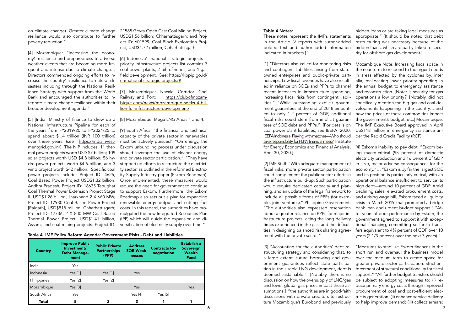#### Table 4 Notes:

These notes represent the IMF's statements in the Article IV reports with author-added bolded text and author-added information indicated in brackets [ ].

[1] "Directors also called for monitoring risks and contingent liabilities arising from stateowned enterprises and public-private partnerships. Low fiscal revenues have also resulted in reliance on SOEs and PPPs to channel recent increases in infrastructure spending, increasing fiscal risks from contingent liabilities." "While outstanding explicit government guarantees at the end of 2018 amounted to only 1.2 percent of GDP, additional fiscal risks could stem from implicit guarantees of SOE debt and PPPs." [For details on coal power plant liabilities, see IEEFA, 2020. [IEEFA Indonesia: Playing with matches—Who should](https://ieefa.org/ieefa-playing-with-matches-who-should-take-responsibility-for-plns-financial-mess/)  [take responsibility for PLN's financial mess?](https://ieefa.org/ieefa-playing-with-matches-who-should-take-responsibility-for-plns-financial-mess/) Institute April 30, 2020.]

hidden loans or are taking legal measures as appropriate." [It should be noted that debt restructuring was necessary because of the hidden loans, which are partly linked to security for offshore gas development.]

for Energy Economics and Financial Analysis, [2] IMF Staff: "With adequate management of fiscal risks, more private sector participation could complement the public sector efforts in the infrastructure build-up. Such participation would require dedicated capacity and planning, and an update of the legal framework to include all possible forms of PPPs (for example, joint ventures)." Philippine Government: "The authorities also expressed reservation about a greater reliance on PPPs for major infrastructure projects, citing the long delivery times experienced in the past and the difficulties in designing balanced risk sharing agreement with the private sector." [4] Eskom's inability to pay debt. "Eskom being macro-critical (95 percent of domestic electricity production and 16 percent of GDP in size), major adverse consequences for the economy."… "Eskom is by far the largest SOE and its position is particularly critical, with an operational balance insufficient to service its high debt—around 10 percent of GDP. Amid declining sales, elevated procurement costs, and a rising wage bill, Eskom faced a liquidity crisis in March 2019 that prompted a bridge bank loan and urgent budget support." "After years of poor performance by Eskom, the government agreed to support it with exceptional financing, committing so far to transfers equivalent to 4¾ percent of GDP over 10 years (2 1/3 percent over the next 3 years)."

Mozambique Note: Increasing fiscal space in the near term to respond to the urgent needs in areas affected by the cyclones by, inter alia, reallocating lower priority spending in the annual budget to emergency assistance and reconstruction. [Note: Is security for gas operations a low priority?] [Notably, did not specifically mention the big gas and coal developments happening in the country….and how the prices of these commodities impact the government's budget, etc.] Mozambique: The IMF Executive Board approved in April US\$118 million in emergency assistance under the Rapid Credit Facility (RCF).

[3] "Accounting for the authorities' debt restructuring strategy and considering that, to a large extent, future borrowing and government guarantees reflect state participation in the sizable LNG development, debt is deemed sustainable." [Notably, there is no discussion on how the oversupply of LNG/gas and lower global gas prices impact these assumptions.] "the authorities are in good-faith discussions with private creditors to restructure Mozambique's Eurobond and previously "Measures to stabilize Eskom finances in the short run and overhaul the business model over the medium term to create space for greater private sector participation. Strict enforcement of structural conditionality for fiscal support." "All further budget transfers should be subject to adopting measures to: (i) reduce primary energy costs through improved procurement of coal and cost-efficient electricity generation; (ii) enhance service delivery to help improve demand; (iii) collect arrears;

on climate change). Greater climate change resilience would also contribute to further poverty reduction."

[4] Mozambique: "Increasing the economy's resilience and preparedness to adverse weather events that are becoming more frequent and intense due to climate change… Directors commended ongoing efforts to increase the country's resilience to natural disasters including through the National Resil-Bank and encouraged the authorities to integrate climate change resilience within their broader development agenda."

National Infrastructure Pipeline for each of the years from FY2019/20 to FY2024/25 to [9] South Africa: "the financial and technical spend about \$1.4 trillion (INR 100 trillion) over these years. (see [https://indiainvest](https://indiainvestmentgrid.gov.in/)[mentgrid.gov.in/\)](https://indiainvestmentgrid.gov.in/) The NIP includes: 11 thermal power projects worth USD \$7 billion; 109 solar projects worth USD \$4.8 billion; 56 hydro power projects worth \$4.6 billion; and 3 wind project worth \$42 million. Specific coal power projects include: Project ID: 4625, Coal Based Power Project USD\$1.32 billion, Andhra Pradesh; Project ID: 18635 Tenughat Coal Thermal Power Extension Project Stage II, USD\$1.26 billion, Jharkhand 2 X 660 MW; Project ID: 17930 Coal Based Power Project renewable energy output and cutting fuel [Raigarh], USD\$818 million, Chharhattisgarh; Project ID: 17736, 2 X 800 MW Coal Based Thermal Power Project, USD\$1.41 billion,

ience Strategy with support from the World [7] Mozambique: Nacala Corridor Coal Railway and Port; [https://clubofmozam](https://clubofmozambique.com/news/mozambique-seeks-4-billion-for-infrastructure-development/)[bique.com/news/mozambique-seeks-4-bil](https://clubofmozambique.com/news/mozambique-seeks-4-billion-for-infrastructure-development/)[lion-for-infrastructure-development/](https://clubofmozambique.com/news/mozambique-seeks-4-billion-for-infrastructure-development/)

[5] [India: Ministry of finance to drew up a [8] Mozambique: Mega LNG Areas 1 and 4.

21585 Gevra Open Cast Coal Mining Project; USD\$1.56 billion; Chharhattisgarh; and Project ID: 601599; Coal Block Exploration Project; USD\$1.72 million; Chharhattisgarh.

[6] Indonesia's national strategic projects – priority infrastructure projects list contains 3 coal power plants, 2 oil refineries, and 1 gas field development. See: [https://kppip.go.id/](https://kppip.go.id/en/national-strategic-projects/) [en/national-strategic-projects/#](https://kppip.go.id/en/national-strategic-projects/)

Assam; and coal mining projects: Project ID: versification of electricity supply over time." capacity of the private sector in renewables must be actively pursued" "On energy, the Eskom unbundling process under discussion should leverage the use of cleaner energy and private sector participation." "They have stepped up efforts to restructure the electricity sector, as outlined in the reformed Electricity Supply Industry paper (Eskom Roadmap). Once implemented, these measures would reduce the need for government to continue to support Eskom. Furthermore, the Eskom Roadmap also sets out a plan for expanding costs. In this regard, the authorities have promulgated the new Integrated Resources Plan (IPP) which will guide the expansion and di-

#### Table 4. IMF Policy Reform Agenda: Government Risks - Debt and Liabilities

| <b>Country</b> | <b>Improve Public</b><br>Investment/<br><b>Debt Manage-</b><br>ment | <b>Public Private</b><br><b>Partnerships</b><br>(PPP) | <b>Address</b><br><b>SOE Weak-</b><br>nesses | <b>Contracts Re-</b><br>negotiation | Establish a<br><b>Sovereign</b><br><b>Wealth</b><br><b>Fund</b> |
|----------------|---------------------------------------------------------------------|-------------------------------------------------------|----------------------------------------------|-------------------------------------|-----------------------------------------------------------------|
| India          | Yes                                                                 |                                                       |                                              |                                     |                                                                 |
| Indonesia      | Yes [1]                                                             | Yes $[1]$                                             | Yes                                          |                                     |                                                                 |
| Philippines    | Yes [2]                                                             | Yes [2]                                               |                                              |                                     |                                                                 |
| Mozambique     | Yes [3]                                                             |                                                       | Yes                                          |                                     | Yes                                                             |
| South Africa   | Yes                                                                 |                                                       | Yes $[4]$                                    | Yes [5]                             |                                                                 |
| <b>Total</b>   | 5                                                                   |                                                       | 3                                            |                                     |                                                                 |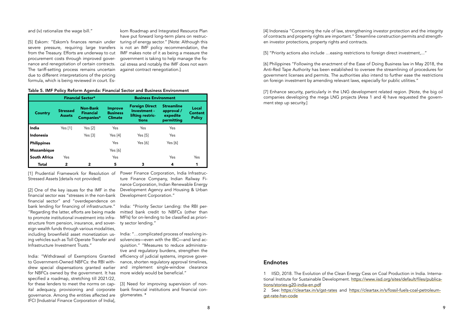[4] Indonesia "Concerning the rule of law, strengthening investor protection and the integrity of contracts and property rights are important." Streamline construction permits and strengthen investor protections, property rights and contracts.

[5] "Priority actions also include …easing restrictions to foreign direct investment,..."

[6] Philippines "Following the enactment of the Ease of Doing Business law in May 2018, the Anti-Red Tape Authority has been established to oversee the streamlining of procedures for government licenses and permits. The authorities also intend to further ease the restrictions on foreign investment by amending relevant laws, especially for public utilities."

[7] Enhance security, particularly in the LNG development related region. [Note, the big oil companies developing the mega LNG projects (Area 1 and 4) have requested the government step up security.]

and (iv) rationalize the wage bill."

[5] Eskom: "Eskom's finances remain under severe pressure, requiring large transfers from the Treasury. Efforts are underway to cut procurement costs through improved governance and renegotiation of certain contracts. The tariff-setting process remains uncertain due to different interpretations of the pricing formula, which is being reviewed in court. Es-

kom Roadmap and Integrated Resource Plan have put forward long-term plans on restructuring of energy sector." [Note: Although this is not an IMF policy recommendation, the IMF makes note of it as being a measure the government is taking to help manage the fiscal stress and notably the IMF does not warn against contract renegotiation.]

|  | Table 5. IMF Policy Reform Agenda: Financial Sector and Business Environment |  |  |
|--|------------------------------------------------------------------------------|--|--|
|  |                                                                              |  |  |

|                     |                                  | <b>Financial Sector*</b>                          | <b>Business Environment</b>                         |                                                                    |                                                           |                                          |
|---------------------|----------------------------------|---------------------------------------------------|-----------------------------------------------------|--------------------------------------------------------------------|-----------------------------------------------------------|------------------------------------------|
| <b>Country</b>      | <b>Stressed</b><br><b>Assets</b> | <b>Non-Bank</b><br><b>Financial</b><br>Companies* | <b>Improve</b><br><b>Business</b><br><b>Climate</b> | <b>Foreign Direct</b><br>Investment -<br>lifting restric-<br>tions | <b>Streamline</b><br>approval /<br>expedite<br>permitting | Local<br><b>Content</b><br><b>Policy</b> |
| India               | Yes $[1]$                        | Yes $[2]$                                         | Yes                                                 | <b>Yes</b>                                                         | <b>Yes</b>                                                |                                          |
| Indonesia           |                                  | Yes [3]                                           | Yes $[4]$                                           | Yes $[5]$                                                          | Yes                                                       |                                          |
| <b>Philippines</b>  |                                  |                                                   | Yes                                                 | Yes $[6]$                                                          | Yes $[6]$                                                 |                                          |
| Mozambique          |                                  |                                                   | Yes [6]                                             |                                                                    |                                                           |                                          |
| <b>South Africa</b> | Yes                              |                                                   | Yes                                                 |                                                                    | Yes                                                       | Yes                                      |
| <b>Total</b>        | $\mathbf{2}$                     | 2                                                 | 5                                                   |                                                                    | 4                                                         | 1                                        |

[3] Need for improving supervision of nonbank financial institutions and financial conglomerates. \*

[1] Prudential Framework for Resolution of Power Finance Corporation, India Infrastruc-Stressed Assets [details not provided]

[2] One of the key issues for the IMF in the financial sector was "stresses in the non-bank financial sector" and "overdependence on bank lending for financing of infrastructure." "Regarding the latter, efforts are being made to promote institutional investment into infrastructure from pension, insurance, and sover-ty sector lending." eign wealth funds through various modalities, including brownfield asset monetization using vehicles such as Toll Operate Transfer and Infrastructure Investment Trusts."

India: "Withdrawal of Exemptions Granted to Government-Owned NBFCs: the RBI withdrew special dispensations granted earlier for NBFCs owned by the government. It has specified a roadmap, stretching till 2021/22, for these lenders to meet the norms on capital adequacy, provisioning and corporate governance. Among the entities affected are IFCI [Industrial Finance Corporation of India],

ture Finance Company, Indian Railway Finance Corporation, Indian Renewable Energy Development Agency and Housing & Urban Development Corporation."

India: "Priority Sector Lending: the RBI permitted bank credit to NBFCs (other than MFIs) for on-lending to be classified as priori-

India: "…complicated process of resolving insolvencies—even with the IBC—and land acquisition." "Measures to reduce administrative and regulatory burdens, strengthen the efficiency of judicial systems, improve governance, shorten regulatory approval timelines, and implement single-window clearance more widely would be beneficial."

### Endnotes

1 IISD, 2018. The Evolution of the Clean Energy Cess on Coal Production in India. International Institute for Sustainable Development. [https://www.iisd.org/sites/default/files/publica](https://www.iisd.org/sites/default/files/publications/stories-g20-india-en.pdf)[tions/stories-g20-india-en.pdf](https://www.iisd.org/sites/default/files/publications/stories-g20-india-en.pdf)

2 See: <https://cleartax.in/s/gst-rates> and [https://cleartax.in/s/fossil-fuels-coal-petroleum](https://cleartax.in/s/fossil-fuels-coal-petroleum-gst-rate-hsn-code)[gst-rate-hsn-code](https://cleartax.in/s/fossil-fuels-coal-petroleum-gst-rate-hsn-code)